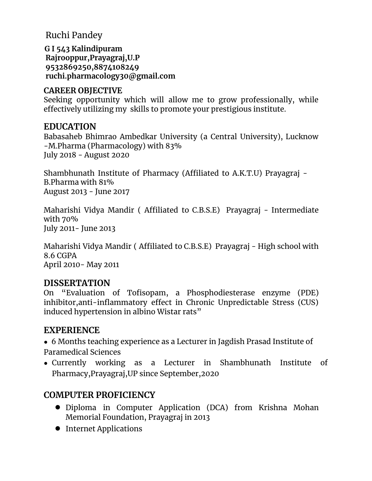Ruchi Pandey

**G I 543 Kalindipuram Rajrooppur,Prayagraj,U.P 9532869250,8874108249 ruchi.pharmacology30@gmail.com**

#### **CAREER OBJECTIVE**

Seeking opportunity which will allow me to grow professionally, while effectively utilizing my skills to promote your prestigious institute.

### **EDUCATION**

Babasaheb Bhimrao Ambedkar University (a Central University), Lucknow -M.Pharma (Pharmacology) with 83% July 2018 - August 2020

Shambhunath Institute of Pharmacy (Affiliated to A.K.T.U) Prayagraj - B.Pharma with 81% August 2013 - June 2017

Maharishi Vidya Mandir ( Affiliated to C.B.S.E) Prayagraj - Intermediate with 70% July 2011- June 2013

Maharishi Vidya Mandir ( Affiliated to C.B.S.E) Prayagraj - High school with 8.6 CGPA April 2010- May 2011

## **DISSERTATION**

On "Evaluation of Tofisopam, a Phosphodiesterase enzyme (PDE) inhibitor,anti-inflammatory effect in Chronic Unpredictable Stress (CUS) induced hypertension in albino Wistar rats"

## **EXPERIENCE**

● 6 Months teaching experience as a Lecturer in Jagdish Prasad Institute of Paramedical Sciences

• Currently working as a Lecturer in Shambhunath Institute of Pharmacy,Prayagraj,UP since September,2020

# **COMPUTER PROFICIENCY**

- Diploma in Computer Application (DCA) from Krishna Mohan Memorial Foundation, Prayagraj in 2013
- Internet Applications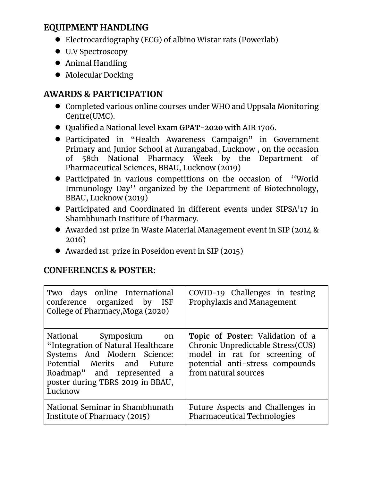## **EQUIPMENT HANDLING**

- Electrocardiography (ECG) of albino Wistar rats (Powerlab)
- U.V Spectroscopy
- Animal Handling
- Molecular Docking

# **AWARDS & PARTICIPATION**

- Completed various online courses under WHO and Uppsala Monitoring Centre(UMC).
- Qualified a National level Exam **GPAT-2020** with AIR 1706.
- Participated in "Health Awareness Campaign" in Government Primary and Junior School at Aurangabad, Lucknow , on the occasion of 58th National Pharmacy Week by the Department of Pharmaceutical Sciences, BBAU, Lucknow (2019)
- Participated in various competitions on the occasion of ''World Immunology Day'' organized by the Department of Biotechnology, BBAU, Lucknow (2019)
- Participated and Coordinated in different events under SIPSA'17 in Shambhunath Institute of Pharmacy.
- Awarded 1st prize in Waste Material Management event in SIP (2014 & 2016)
- Awarded 1st prize in Poseidon event in SIP (2015)

## **CONFERENCES & POSTER:**

| Two days online International<br>conference organized by ISF<br>College of Pharmacy, Moga (2020)                                                                                                       | COVID-19 Challenges in testing<br>Prophylaxis and Management                                                                                                      |
|--------------------------------------------------------------------------------------------------------------------------------------------------------------------------------------------------------|-------------------------------------------------------------------------------------------------------------------------------------------------------------------|
| National Symposium on<br>"Integration of Natural Healthcare<br>Systems And Modern Science:<br>Potential Merits and Future<br>Roadmap" and represented a<br>poster during TBRS 2019 in BBAU,<br>Lucknow | Topic of Poster: Validation of a<br>Chronic Unpredictable Stress(CUS)<br>model in rat for screening of<br>potential anti-stress compounds<br>from natural sources |
| National Seminar in Shambhunath<br>Institute of Pharmacy (2015)                                                                                                                                        | Future Aspects and Challenges in<br>Pharmaceutical Technologies                                                                                                   |